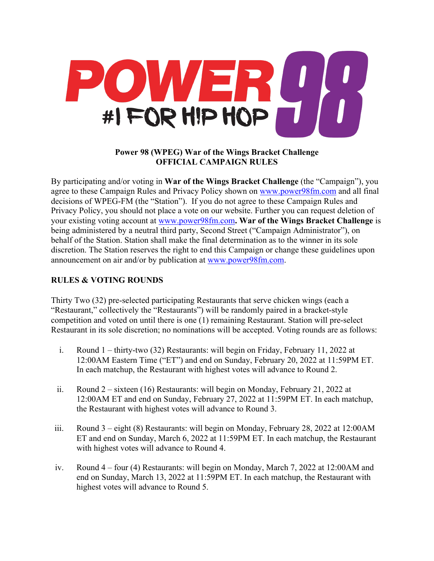

## **Power 98 (WPEG) War of the Wings Bracket Challenge OFFICIAL CAMPAIGN RULES**

By participating and/or voting in **War of the Wings Bracket Challenge** (the "Campaign"), you agree to these Campaign Rules and Privacy Policy shown on www.power98fm.com and all final decisions of WPEG-FM (the "Station"). If you do not agree to these Campaign Rules and Privacy Policy, you should not place a vote on our website. Further you can request deletion of your existing voting account at www.power98fm.com**. War of the Wings Bracket Challenge** is being administered by a neutral third party, Second Street ("Campaign Administrator"), on behalf of the Station. Station shall make the final determination as to the winner in its sole discretion. The Station reserves the right to end this Campaign or change these guidelines upon announcement on air and/or by publication at www.power98fm.com.

# **RULES & VOTING ROUNDS**

Thirty Two (32) pre-selected participating Restaurants that serve chicken wings (each a "Restaurant," collectively the "Restaurants") will be randomly paired in a bracket-style competition and voted on until there is one (1) remaining Restaurant. Station will pre-select Restaurant in its sole discretion; no nominations will be accepted. Voting rounds are as follows:

- i. Round 1 thirty-two (32) Restaurants: will begin on Friday, February 11, 2022 at 12:00AM Eastern Time ("ET") and end on Sunday, February 20, 2022 at 11:59PM ET. In each matchup, the Restaurant with highest votes will advance to Round 2.
- ii. Round 2 sixteen (16) Restaurants: will begin on Monday, February 21, 2022 at 12:00AM ET and end on Sunday, February 27, 2022 at 11:59PM ET. In each matchup, the Restaurant with highest votes will advance to Round 3.
- iii. Round 3 eight (8) Restaurants: will begin on Monday, February 28, 2022 at 12:00AM ET and end on Sunday, March 6, 2022 at 11:59PM ET. In each matchup, the Restaurant with highest votes will advance to Round 4.
- iv. Round 4 four (4) Restaurants: will begin on Monday, March 7, 2022 at 12:00AM and end on Sunday, March 13, 2022 at 11:59PM ET. In each matchup, the Restaurant with highest votes will advance to Round 5.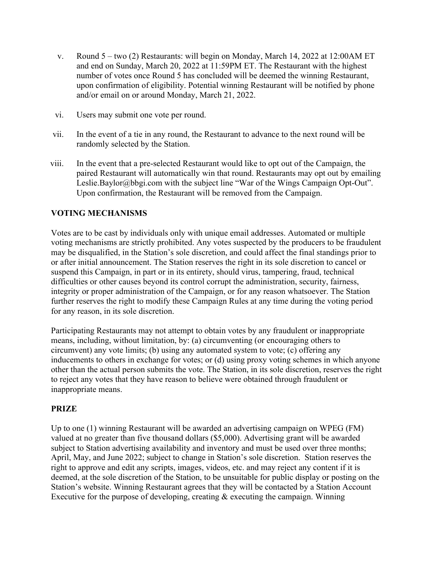- v. Round 5 two (2) Restaurants: will begin on Monday, March 14, 2022 at 12:00AM ET and end on Sunday, March 20, 2022 at 11:59PM ET. The Restaurant with the highest number of votes once Round 5 has concluded will be deemed the winning Restaurant, upon confirmation of eligibility. Potential winning Restaurant will be notified by phone and/or email on or around Monday, March 21, 2022.
- vi. Users may submit one vote per round.
- vii. In the event of a tie in any round, the Restaurant to advance to the next round will be randomly selected by the Station.
- viii. In the event that a pre-selected Restaurant would like to opt out of the Campaign, the paired Restaurant will automatically win that round. Restaurants may opt out by emailing Leslie.Baylor@bbgi.com with the subject line "War of the Wings Campaign Opt-Out". Upon confirmation, the Restaurant will be removed from the Campaign.

### **VOTING MECHANISMS**

Votes are to be cast by individuals only with unique email addresses. Automated or multiple voting mechanisms are strictly prohibited. Any votes suspected by the producers to be fraudulent may be disqualified, in the Station's sole discretion, and could affect the final standings prior to or after initial announcement. The Station reserves the right in its sole discretion to cancel or suspend this Campaign, in part or in its entirety, should virus, tampering, fraud, technical difficulties or other causes beyond its control corrupt the administration, security, fairness, integrity or proper administration of the Campaign, or for any reason whatsoever. The Station further reserves the right to modify these Campaign Rules at any time during the voting period for any reason, in its sole discretion.

Participating Restaurants may not attempt to obtain votes by any fraudulent or inappropriate means, including, without limitation, by: (a) circumventing (or encouraging others to circumvent) any vote limits; (b) using any automated system to vote; (c) offering any inducements to others in exchange for votes; or (d) using proxy voting schemes in which anyone other than the actual person submits the vote. The Station, in its sole discretion, reserves the right to reject any votes that they have reason to believe were obtained through fraudulent or inappropriate means.

### **PRIZE**

Up to one (1) winning Restaurant will be awarded an advertising campaign on WPEG (FM) valued at no greater than five thousand dollars (\$5,000). Advertising grant will be awarded subject to Station advertising availability and inventory and must be used over three months; April, May, and June 2022; subject to change in Station's sole discretion. Station reserves the right to approve and edit any scripts, images, videos, etc. and may reject any content if it is deemed, at the sole discretion of the Station, to be unsuitable for public display or posting on the Station's website. Winning Restaurant agrees that they will be contacted by a Station Account Executive for the purpose of developing, creating & executing the campaign. Winning